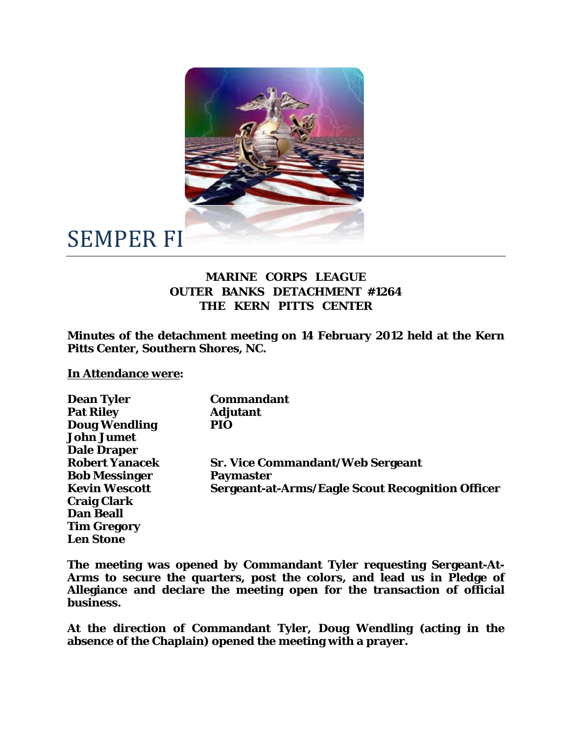

## SEMPER FI

## **MARINE CORPS LEAGUE OUTER BANKS DETACHMENT #1264 THE KERN PITTS CENTER**

**Minutes of the detachment meeting on 14 February 2012 held at the Kern Pitts Center, Southern Shores, NC.** 

**In Attendance were:** 

| <b>Dean Tyler</b>     | <b>Commandant</b>                                       |
|-----------------------|---------------------------------------------------------|
| <b>Pat Riley</b>      | <b>Adjutant</b>                                         |
| <b>Doug Wendling</b>  | PIO                                                     |
| <b>John Jumet</b>     |                                                         |
| <b>Dale Draper</b>    |                                                         |
| <b>Robert Yanacek</b> | <b>Sr. Vice Commandant/Web Sergeant</b>                 |
| <b>Bob Messinger</b>  | <b>Paymaster</b>                                        |
| <b>Kevin Wescott</b>  | <b>Sergeant-at-Arms/Eagle Scout Recognition Officer</b> |
| <b>Craig Clark</b>    |                                                         |
| <b>Dan Beall</b>      |                                                         |
| <b>Tim Gregory</b>    |                                                         |
| <b>Len Stone</b>      |                                                         |

**The meeting was opened by Commandant Tyler requesting Sergeant-At-Arms to secure the quarters, post the colors, and lead us in Pledge of Allegiance and declare the meeting open for the transaction of official business.** 

**At the direction of Commandant Tyler, Doug Wendling (acting in the absence of the Chaplain) opened the meeting with a prayer.**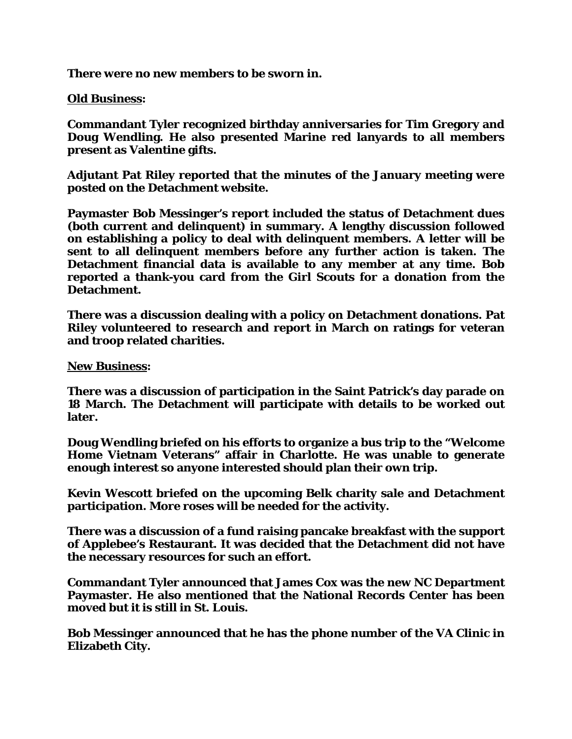**There were no new members to be sworn in.** 

## **Old Business:**

**Commandant Tyler recognized birthday anniversaries for Tim Gregory and Doug Wendling. He also presented Marine red lanyards to all members present as Valentine gifts.** 

**Adjutant Pat Riley reported that the minutes of the January meeting were posted on the Detachment website.** 

**Paymaster Bob Messinger's report included the status of Detachment dues (both current and delinquent) in summary. A lengthy discussion followed on establishing a policy to deal with delinquent members. A letter will be sent to all delinquent members before any further action is taken. The Detachment financial data is available to any member at any time. Bob reported a thank-you card from the Girl Scouts for a donation from the Detachment.** 

**There was a discussion dealing with a policy on Detachment donations. Pat Riley volunteered to research and report in March on ratings for veteran and troop related charities.** 

**New Business:** 

**There was a discussion of participation in the Saint Patrick's day parade on 18 March. The Detachment will participate with details to be worked out later.** 

**Doug Wendling briefed on his efforts to organize a bus trip to the "Welcome Home Vietnam Veterans" affair in Charlotte. He was unable to generate enough interest so anyone interested should plan their own trip.** 

**Kevin Wescott briefed on the upcoming Belk charity sale and Detachment participation. More roses will be needed for the activity.** 

**There was a discussion of a fund raising pancake breakfast with the support of Applebee's Restaurant. It was decided that the Detachment did not have the necessary resources for such an effort.** 

**Commandant Tyler announced that James Cox was the new NC Department Paymaster. He also mentioned that the National Records Center has been moved but it is still in St. Louis.** 

**Bob Messinger announced that he has the phone number of the VA Clinic in Elizabeth City.**